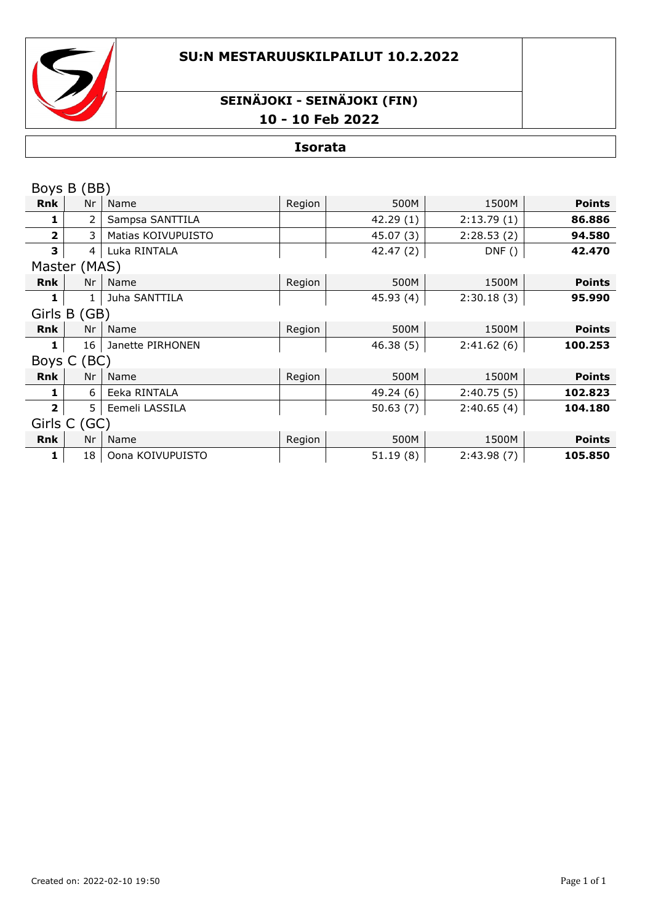## **SU:N MESTARUUSKILPAILUT 10.2.2022**



# **SEINÄJOKI - SEINÄJOKI (FIN) 10 - 10 Feb 2022**

#### **Isorata**

| Boys B (BB)             |    |                    |        |           |            |               |  |  |  |
|-------------------------|----|--------------------|--------|-----------|------------|---------------|--|--|--|
| <b>Rnk</b>              | Nr | Name               | Region | 500M      | 1500M      | <b>Points</b> |  |  |  |
|                         | 2  | Sampsa SANTTILA    |        | 42.29(1)  | 2:13.79(1) | 86.886        |  |  |  |
| $\overline{2}$          | 3  | Matias KOIVUPUISTO |        | 45.07 (3) | 2:28.53(2) | 94.580        |  |  |  |
| 3                       | 4  | Luka RINTALA       |        | 42.47 (2) | DNF()      | 42.470        |  |  |  |
| Master (MAS)            |    |                    |        |           |            |               |  |  |  |
| <b>Rnk</b>              | Nr | Name               | Region | 500M      | 1500M      | <b>Points</b> |  |  |  |
| 1                       | 1  | Juha SANTTILA      |        | 45.93(4)  | 2:30.18(3) | 95.990        |  |  |  |
| Girls B (GB)            |    |                    |        |           |            |               |  |  |  |
| <b>Rnk</b>              | Nr | Name               | Region | 500M      | 1500M      | <b>Points</b> |  |  |  |
| 1                       | 16 | Janette PIRHONEN   |        | 46.38(5)  | 2:41.62(6) | 100.253       |  |  |  |
| Boys C (BC)             |    |                    |        |           |            |               |  |  |  |
| <b>Rnk</b>              | Nr | Name               | Region | 500M      | 1500M      | <b>Points</b> |  |  |  |
| 1                       | 6  | Eeka RINTALA       |        | 49.24 (6) | 2:40.75(5) | 102.823       |  |  |  |
| $\overline{\mathbf{2}}$ | 5  | Eemeli LASSILA     |        | 50.63(7)  | 2:40.65(4) | 104.180       |  |  |  |
| Girls C (GC)            |    |                    |        |           |            |               |  |  |  |
| <b>Rnk</b>              | Nr | Name               | Region | 500M      | 1500M      | <b>Points</b> |  |  |  |
| 1                       | 18 | Oona KOIVUPUISTO   |        | 51.19(8)  | 2:43.98(7) | 105.850       |  |  |  |